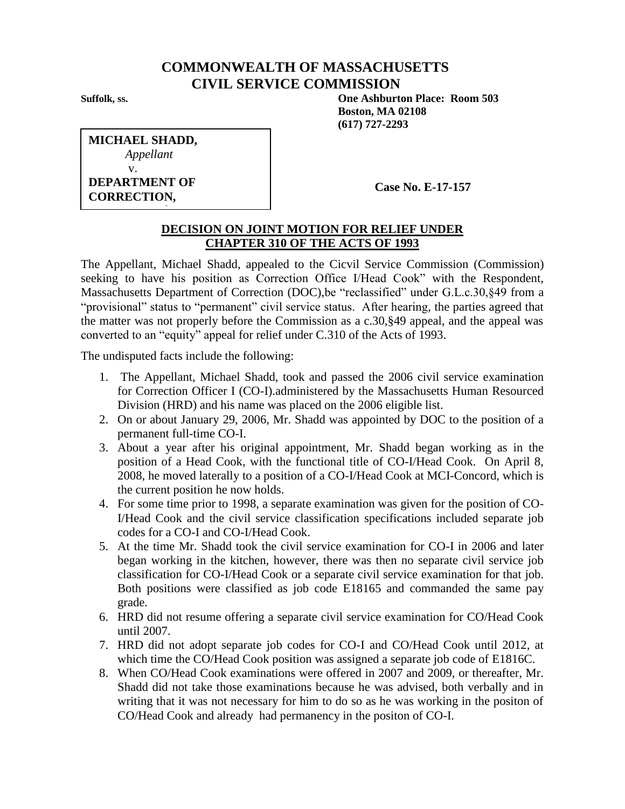## **COMMONWEALTH OF MASSACHUSETTS CIVIL SERVICE COMMISSION**

**Suffolk, ss. One Ashburton Place: Room 503 Boston, MA 02108 (617) 727-2293**

| <b>MICHAEL SHADD,</b> |
|-----------------------|
| Appellant             |
| V.                    |
| <b>DEPARTMENT OF</b>  |
| <b>CORRECTION,</b>    |

*Respondent*

**Case No. E-17-157**

## **DECISION ON JOINT MOTION FOR RELIEF UNDER CHAPTER 310 OF THE ACTS OF 1993**

The Appellant, Michael Shadd, appealed to the Cicvil Service Commission (Commission) seeking to have his position as Correction Office I/Head Cook" with the Respondent, Massachusetts Department of Correction (DOC),be "reclassified" under G.L.c.30,§49 from a "provisional" status to "permanent" civil service status. After hearing, the parties agreed that the matter was not properly before the Commission as a c.30,§49 appeal, and the appeal was converted to an "equity" appeal for relief under C.310 of the Acts of 1993.

The undisputed facts include the following:

- 1. The Appellant, Michael Shadd, took and passed the 2006 civil service examination for Correction Officer I (CO-I).administered by the Massachusetts Human Resourced Division (HRD) and his name was placed on the 2006 eligible list.
- 2. On or about January 29, 2006, Mr. Shadd was appointed by DOC to the position of a permanent full-time CO-I.
- 3. About a year after his original appointment, Mr. Shadd began working as in the position of a Head Cook, with the functional title of CO-I/Head Cook. On April 8, 2008, he moved laterally to a position of a CO-I/Head Cook at MCI-Concord, which is the current position he now holds.
- 4. For some time prior to 1998, a separate examination was given for the position of CO-I/Head Cook and the civil service classification specifications included separate job codes for a CO-I and CO-I/Head Cook.
- 5. At the time Mr. Shadd took the civil service examination for CO-I in 2006 and later began working in the kitchen, however, there was then no separate civil service job classification for CO-I/Head Cook or a separate civil service examination for that job. Both positions were classified as job code E18165 and commanded the same pay grade.
- 6. HRD did not resume offering a separate civil service examination for CO/Head Cook until 2007.
- 7. HRD did not adopt separate job codes for CO-I and CO/Head Cook until 2012, at which time the CO/Head Cook position was assigned a separate job code of E1816C.
- 8. When CO/Head Cook examinations were offered in 2007 and 2009, or thereafter, Mr. Shadd did not take those examinations because he was advised, both verbally and in writing that it was not necessary for him to do so as he was working in the positon of CO/Head Cook and already had permanency in the positon of CO-I.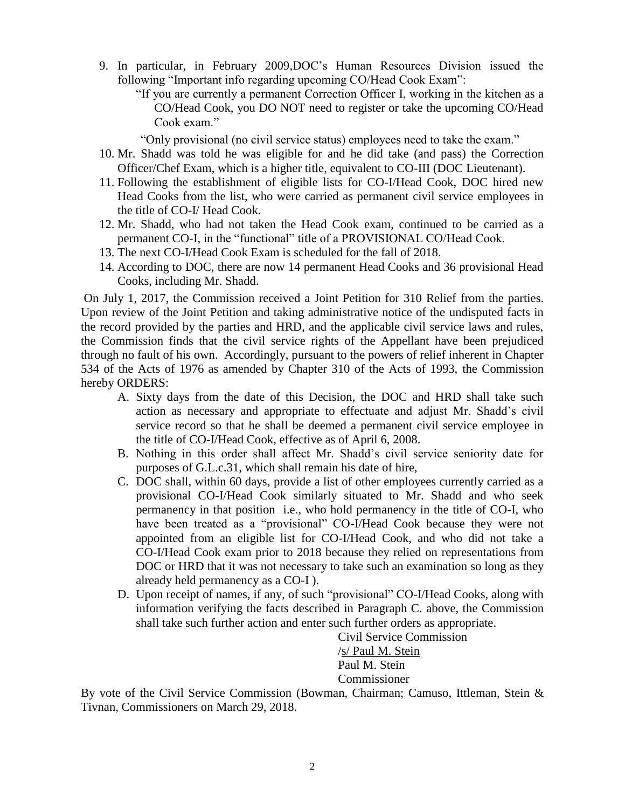9. In particular, in February 2009,DOC's Human Resources Division issued the following "Important info regarding upcoming CO/Head Cook Exam":

"If you are currently a permanent Correction Officer I, working in the kitchen as a CO/Head Cook, you DO NOT need to register or take the upcoming CO/Head Cook exam."

"Only provisional (no civil service status) employees need to take the exam."

- 10. Mr. Shadd was told he was eligible for and he did take (and pass) the Correction Officer/Chef Exam, which is a higher title, equivalent to CO-III (DOC Lieutenant).
- 11. Following the establishment of eligible lists for CO-I/Head Cook, DOC hired new Head Cooks from the list, who were carried as permanent civil service employees in the title of CO-I/ Head Cook.
- 12. Mr. Shadd, who had not taken the Head Cook exam, continued to be carried as a permanent CO-I, in the "functional" title of a PROVISIONAL CO/Head Cook.
- 13. The next CO-I/Head Cook Exam is scheduled for the fall of 2018.
- 14. According to DOC, there are now 14 permanent Head Cooks and 36 provisional Head Cooks, including Mr. Shadd.

On July 1, 2017, the Commission received a Joint Petition for 310 Relief from the parties. Upon review of the Joint Petition and taking administrative notice of the undisputed facts in the record provided by the parties and HRD, and the applicable civil service laws and rules, the Commission finds that the civil service rights of the Appellant have been prejudiced through no fault of his own. Accordingly, pursuant to the powers of relief inherent in Chapter 534 of the Acts of 1976 as amended by Chapter 310 of the Acts of 1993, the Commission hereby ORDERS:

- A. Sixty days from the date of this Decision, the DOC and HRD shall take such action as necessary and appropriate to effectuate and adjust Mr. Shadd's civil service record so that he shall be deemed a permanent civil service employee in the title of CO-I/Head Cook, effective as of April 6, 2008.
- B. Nothing in this order shall affect Mr. Shadd's civil service seniority date for purposes of G.L.c.31, which shall remain his date of hire,
- C. DOC shall, within 60 days, provide a list of other employees currently carried as a provisional CO-I/Head Cook similarly situated to Mr. Shadd and who seek permanency in that position i.e., who hold permanency in the title of CO-I, who have been treated as a "provisional" CO-I/Head Cook because they were not appointed from an eligible list for CO-I/Head Cook, and who did not take a CO-I/Head Cook exam prior to 2018 because they relied on representations from DOC or HRD that it was not necessary to take such an examination so long as they already held permanency as a CO-I ).
- D. Upon receipt of names, if any, of such "provisional" CO-I/Head Cooks, along with information verifying the facts described in Paragraph C. above, the Commission shall take such further action and enter such further orders as appropriate.

Civil Service Commission /s/ Paul M. Stein Paul M. Stein Commissioner

By vote of the Civil Service Commission (Bowman, Chairman; Camuso, Ittleman, Stein & Tivnan, Commissioners on March 29, 2018.